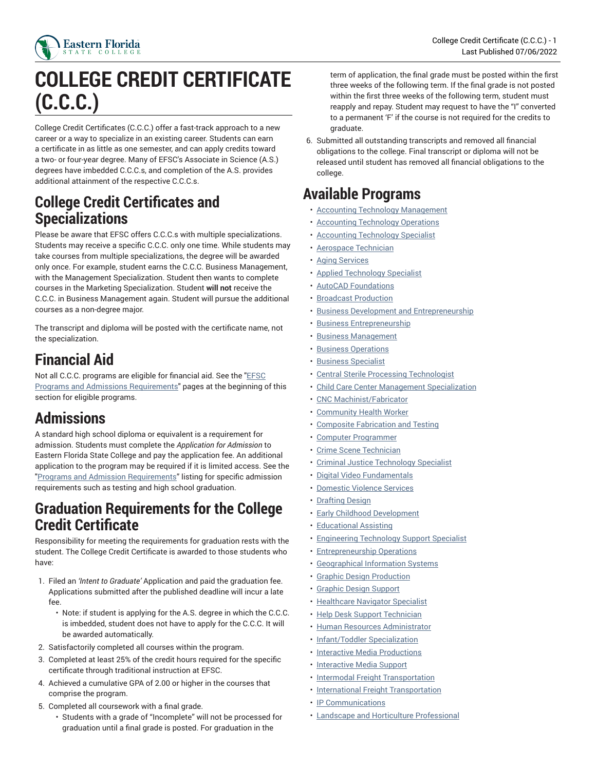

# **COLLEGE CREDIT CERTIFICATE (C.C.C.)**

College Credit Certificates (C.C.C.) offer a fast-track approach to a new career or a way to specialize in an existing career. Students can earn a certificate in as little as one semester, and can apply credits toward a two- or four-year degree. Many of EFSC's Associate in Science (A.S.) degrees have imbedded C.C.C.s, and completion of the A.S. provides additional attainment of the respective C.C.C.s.

## **College Credit Certificates and Specializations**

Please be aware that EFSC offers C.C.C.s with multiple specializations. Students may receive a specific C.C.C. only one time. While students may take courses from multiple specializations, the degree will be awarded only once. For example, student earns the C.C.C. Business Management, with the Management Specialization. Student then wants to complete courses in the Marketing Specialization. Student **will not** receive the C.C.C. in Business Management again. Student will pursue the additional courses as a non-degree major.

The transcript and diploma will be posted with the certificate name, not the specialization.

## **Financial Aid**

Not all C.C.C. programs are eligible for financial aid. See the "[EFSC](https://catalog.easternflorida.edu/programs-admission-requirements/) Programs and Admissions [Requirements](https://catalog.easternflorida.edu/programs-admission-requirements/)" pages at the beginning of this section for eligible programs.

## **Admissions**

A standard high school diploma or equivalent is a requirement for admission. Students must complete the *Application for Admission* to Eastern Florida State College and pay the application fee. An additional application to the program may be required if it is limited access. See the "Programs and Admission [Requirements"](https://catalog.easternflorida.edu/programs-admission-requirements/) listing for specific admission requirements such as testing and high school graduation.

## **Graduation Requirements for the College Credit Certificate**

Responsibility for meeting the requirements for graduation rests with the student. The College Credit Certificate is awarded to those students who have:

- 1. Filed an *'Intent to Graduate'* Application and paid the graduation fee. Applications submitted after the published deadline will incur a late fee.
	- Note: if student is applying for the A.S. degree in which the C.C.C. is imbedded, student does not have to apply for the C.C.C. It will be awarded automatically.
- 2. Satisfactorily completed all courses within the program.
- 3. Completed at least 25% of the credit hours required for the specific certificate through traditional instruction at EFSC.
- 4. Achieved a cumulative GPA of 2.00 or higher in the courses that comprise the program.
- 5. Completed all coursework with a final grade.
	- Students with a grade of "Incomplete" will not be processed for graduation until a final grade is posted. For graduation in the

term of application, the final grade must be posted within the first three weeks of the following term. If the final grade is not posted within the first three weeks of the following term, student must reapply and repay. Student may request to have the "I" converted to a permanent 'F' if the course is not required for the credits to graduate.

6. Submitted all outstanding transcripts and removed all financial obligations to the college. Final transcript or diploma will not be released until student has removed all financial obligations to the college.

## **Available Programs**

- Accounting Technology [Management](https://catalog.easternflorida.edu/degrees-certificates/career-technical/college-credit-certificate-ccc/accounting-technology-management/)
- Accounting [Technology](https://catalog.easternflorida.edu/degrees-certificates/career-technical/college-credit-certificate-ccc/accounting-technology-operations/) Operations
- Accounting [Technology](https://catalog.easternflorida.edu/degrees-certificates/career-technical/college-credit-certificate-ccc/accounting-technology-specialist/) Specialist
- Aerospace [Technician](https://catalog.easternflorida.edu/degrees-certificates/career-technical/college-credit-certificate-ccc/aerospace-technician/)
- Aging [Services](https://catalog.easternflorida.edu/degrees-certificates/career-technical/college-credit-certificate-ccc/aging-services/)
- Applied [Technology](https://catalog.easternflorida.edu/degrees-certificates/career-technical/college-credit-certificate-ccc/applied-technology-specialist-ccc/) Specialist
- AutoCAD [Foundations](https://catalog.easternflorida.edu/degrees-certificates/career-technical/college-credit-certificate-ccc/autocad-foundations-ccc/)
- Broadcast [Production](https://catalog.easternflorida.edu/degrees-certificates/career-technical/college-credit-certificate-ccc/broadcast-production/)
- Business Development and [Entrepreneurship](https://catalog.easternflorida.edu/degrees-certificates/career-technical/college-credit-certificate-ccc/business-development-entrepreneurship/)
- Business [Entrepreneurship](https://catalog.easternflorida.edu/degrees-certificates/career-technical/college-credit-certificate-ccc/business-entrepreneurship/)
- [Business Management](https://catalog.easternflorida.edu/degrees-certificates/career-technical/college-credit-certificate-ccc/business-management/)
- [Business Operations](https://catalog.easternflorida.edu/degrees-certificates/career-technical/college-credit-certificate-ccc/business-operations/)
- [Business Specialist](https://catalog.easternflorida.edu/degrees-certificates/career-technical/college-credit-certificate-ccc/business-specialist/)
- Central Sterile Processing [Technologist](https://catalog.easternflorida.edu/degrees-certificates/career-technical/college-credit-certificate-ccc/central-sterile-processing-technologist/)
- Child Care Center Management [Specialization](https://catalog.easternflorida.edu/degrees-certificates/career-technical/college-credit-certificate-ccc/child-care-center-management-specialization/)
- CNC [Machinist/Fabricator](https://catalog.easternflorida.edu/degrees-certificates/career-technical/college-credit-certificate-ccc/cnc-machinistfabricator/)
- [Community](https://catalog.easternflorida.edu/degrees-certificates/career-technical/college-credit-certificate-ccc/community-health-worker/) Health Worker
- Composite [Fabrication](https://catalog.easternflorida.edu/degrees-certificates/career-technical/college-credit-certificate-ccc/composite-fabrication-testing/) and Testing
- Computer [Programmer](https://catalog.easternflorida.edu/degrees-certificates/career-technical/college-credit-certificate-ccc/computer-programmer/)
- Crime Scene [Technician](https://catalog.easternflorida.edu/degrees-certificates/career-technical/college-credit-certificate-ccc/crime-scene-technician/)
- Criminal Justice [Technology](https://catalog.easternflorida.edu/degrees-certificates/career-technical/college-credit-certificate-ccc/criminal-justice-technology-specialist/) Specialist
- Digital Video [Fundamentals](https://catalog.easternflorida.edu/degrees-certificates/career-technical/college-credit-certificate-ccc/digital-video-fundamentals/)
- [Domestic](https://catalog.easternflorida.edu/degrees-certificates/career-technical/college-credit-certificate-ccc/domestic-violence-services/) Violence Services
- [Drafting Design](https://catalog.easternflorida.edu/degrees-certificates/career-technical/college-credit-certificate-ccc/drafting-design/)
- Early Childhood [Development](https://catalog.easternflorida.edu/degrees-certificates/career-technical/college-credit-certificate-ccc/early-childhood-development/)
- [Educational](https://catalog.easternflorida.edu/degrees-certificates/career-technical/college-credit-certificate-ccc/educational-assisting/) Assisting
- [Engineering](https://catalog.easternflorida.edu/degrees-certificates/career-technical/college-credit-certificate-ccc/engineering-technology-support-specialist/) Technology Support Specialist
- [Entrepreneurship](https://catalog.easternflorida.edu/degrees-certificates/career-technical/college-credit-certificate-ccc/entrepreneurship-operations/) Operations
- [Geographical Information Systems](https://catalog.easternflorida.edu/degrees-certificates/career-technical/college-credit-certificate-ccc/geographical-information-systems/)
- Graphic Design [Production](https://catalog.easternflorida.edu/degrees-certificates/career-technical/college-credit-certificate-ccc/graphic-design-production/)
- Graphic Design [Support](https://catalog.easternflorida.edu/degrees-certificates/career-technical/college-credit-certificate-ccc/graphic-design-support/)
- [Healthcare](https://catalog.easternflorida.edu/degrees-certificates/career-technical/college-credit-certificate-ccc/healthcare-navigator-specialist/) Navigator Specialist
- Help Desk Support [Technician](https://catalog.easternflorida.edu/degrees-certificates/career-technical/college-credit-certificate-ccc/help-desk-support-technician/)
- Human Resources [Administrator](https://catalog.easternflorida.edu/degrees-certificates/career-technical/college-credit-certificate-ccc/human-resources-administrator/)
- [Infant/Toddler](https://catalog.easternflorida.edu/degrees-certificates/career-technical/college-credit-certificate-ccc/infant-toddler-specialization/) Specialization
- Interactive Media [Productions](https://catalog.easternflorida.edu/degrees-certificates/career-technical/college-credit-certificate-ccc/interactive-media-productions/)
- [Interactive](https://catalog.easternflorida.edu/degrees-certificates/career-technical/college-credit-certificate-ccc/interactive-media-support/) Media Support
- Intermodal Freight [Transportation](https://catalog.easternflorida.edu/degrees-certificates/career-technical/college-credit-certificate-ccc/intermodal-freight-transportation/)
- International Freight [Transportation](https://catalog.easternflorida.edu/degrees-certificates/career-technical/college-credit-certificate-ccc/international-freight-transportation/)
- [IP Communications](https://catalog.easternflorida.edu/degrees-certificates/career-technical/college-credit-certificate-ccc/ip-communications/)
- Landscape and Horticulture [Professional](https://catalog.easternflorida.edu/degrees-certificates/career-technical/college-credit-certificate-ccc/landscape-horticulture-professional/)